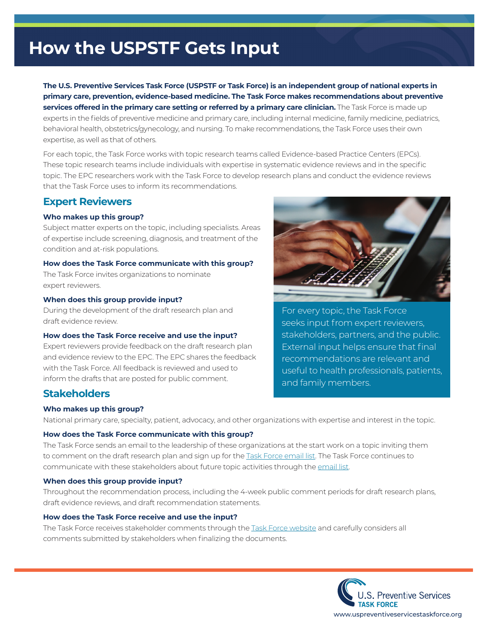# **How the USPSTF Gets Input**

**The U.S. Preventive Services Task Force (USPSTF or Task Force) is an independent group of national experts in primary care, prevention, evidence-based medicine. The Task Force makes recommendations about preventive services offered in the primary care setting or referred by a primary care clinician.** The Task Force is made up experts in the felds of preventive medicine and primary care, including internal medicine, family medicine, pediatrics, behavioral health, obstetrics/gynecology, and nursing. To make recommendations, the Task Force uses their own expertise, as well as that of others.

For each topic, the Task Force works with topic research teams called Evidence-based Practice Centers (EPCs). These topic research teams include individuals with expertise in systematic evidence reviews and in the specifc topic. The EPC researchers work with the Task Force to develop research plans and conduct the evidence reviews that the Task Force uses to inform its recommendations.

## **Expert Reviewers**

### **Who makes up this group?**

Subject matter experts on the topic, including specialists. Areas of expertise include screening, diagnosis, and treatment of the condition and at-risk populations.

### **How does the Task Force communicate with this group?**

The Task Force invites organizations to nominate expert reviewers.

### **When does this group provide input?**

During the development of the draft research plan and draft evidence review.

### **How does the Task Force receive and use the input?**

Expert reviewers provide feedback on the draft research plan and evidence review to the EPC. The EPC shares the feedback with the Task Force. All feedback is reviewed and used to inform the drafts that are posted for public comment.

For every topic, the Task Force seeks input from expert reviewers, stakeholders, partners, and the public. External input helps ensure that final recommendations are relevant and useful to health professionals, patients, and family members.

## **Stakeholders**

### **Who makes up this group?**

National primary care, specialty, patient, advocacy, and other organizations with expertise and interest in the topic.

### **How does the Task Force communicate with this group?**

The Task Force sends an email to the leadership of these organizations at the start work on a topic inviting them to comment on the draft research plan and sign up for the [Task Force email list.](https://www.uspreventiveservicestaskforce.org/Page/Name/email-updates) The Task Force continues to communicate with these stakeholders about future topic activities through the [email list.](https://www.uspreventiveservicestaskforce.org/Page/Name/email-updates)

### **When does this group provide input?**

Throughout the recommendation process, including the 4-week public comment periods for draft research plans, draft evidence reviews, and draft recommendation statements.

### **How does the Task Force receive and use the input?**

The Task Force receives stakeholder comments through the [Task Force website](https://www.uspreventiveservicestaskforce.org/uspstf/public-comments-and-nominations/opportunity-for-public-comment) and carefully considers all comments submitted by stakeholders when finalizing the documents.